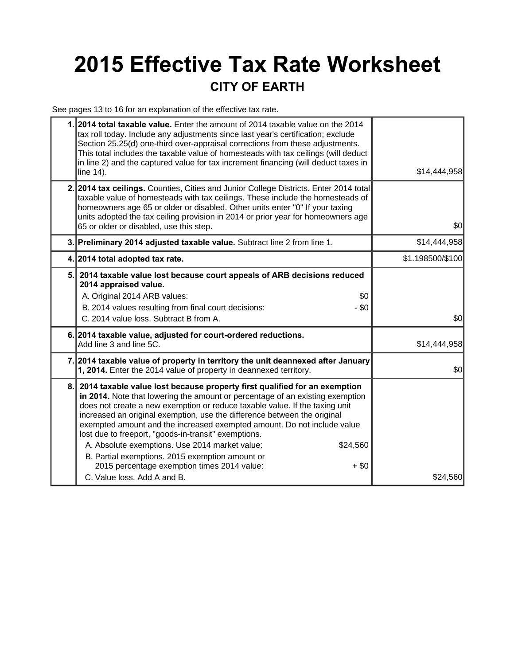## **2015 Effective Tax Rate Worksheet CITY OF EARTH**

See pages 13 to 16 for an explanation of the effective tax rate.

| 1.1 | 2014 total taxable value. Enter the amount of 2014 taxable value on the 2014<br>tax roll today. Include any adjustments since last year's certification; exclude<br>Section 25.25(d) one-third over-appraisal corrections from these adjustments.<br>This total includes the taxable value of homesteads with tax ceilings (will deduct<br>in line 2) and the captured value for tax increment financing (will deduct taxes in<br>line 14).                                                                                                                                                                                                                        | \$14,444,958     |  |
|-----|--------------------------------------------------------------------------------------------------------------------------------------------------------------------------------------------------------------------------------------------------------------------------------------------------------------------------------------------------------------------------------------------------------------------------------------------------------------------------------------------------------------------------------------------------------------------------------------------------------------------------------------------------------------------|------------------|--|
|     | 2. 2014 tax ceilings. Counties, Cities and Junior College Districts. Enter 2014 total<br>taxable value of homesteads with tax ceilings. These include the homesteads of<br>homeowners age 65 or older or disabled. Other units enter "0" If your taxing<br>units adopted the tax ceiling provision in 2014 or prior year for homeowners age<br>65 or older or disabled, use this step.                                                                                                                                                                                                                                                                             | \$0              |  |
|     | 3. Preliminary 2014 adjusted taxable value. Subtract line 2 from line 1.                                                                                                                                                                                                                                                                                                                                                                                                                                                                                                                                                                                           | \$14,444,958     |  |
|     | 4. 2014 total adopted tax rate.                                                                                                                                                                                                                                                                                                                                                                                                                                                                                                                                                                                                                                    | \$1.198500/\$100 |  |
| 5.  | 2014 taxable value lost because court appeals of ARB decisions reduced<br>2014 appraised value.<br>A. Original 2014 ARB values:<br>\$0<br>B. 2014 values resulting from final court decisions:<br>- \$0<br>C. 2014 value loss. Subtract B from A.                                                                                                                                                                                                                                                                                                                                                                                                                  | \$0              |  |
|     | 6. 2014 taxable value, adjusted for court-ordered reductions.<br>Add line 3 and line 5C.                                                                                                                                                                                                                                                                                                                                                                                                                                                                                                                                                                           | \$14,444,958     |  |
|     | 7. 2014 taxable value of property in territory the unit deannexed after January<br>1, 2014. Enter the 2014 value of property in deannexed territory.                                                                                                                                                                                                                                                                                                                                                                                                                                                                                                               | \$0              |  |
| 8.  | 2014 taxable value lost because property first qualified for an exemption<br>in 2014. Note that lowering the amount or percentage of an existing exemption<br>does not create a new exemption or reduce taxable value. If the taxing unit<br>increased an original exemption, use the difference between the original<br>exempted amount and the increased exempted amount. Do not include value<br>lost due to freeport, "goods-in-transit" exemptions.<br>A. Absolute exemptions. Use 2014 market value:<br>\$24,560<br>B. Partial exemptions. 2015 exemption amount or<br>2015 percentage exemption times 2014 value:<br>$+$ \$0<br>C. Value loss. Add A and B. | \$24,560         |  |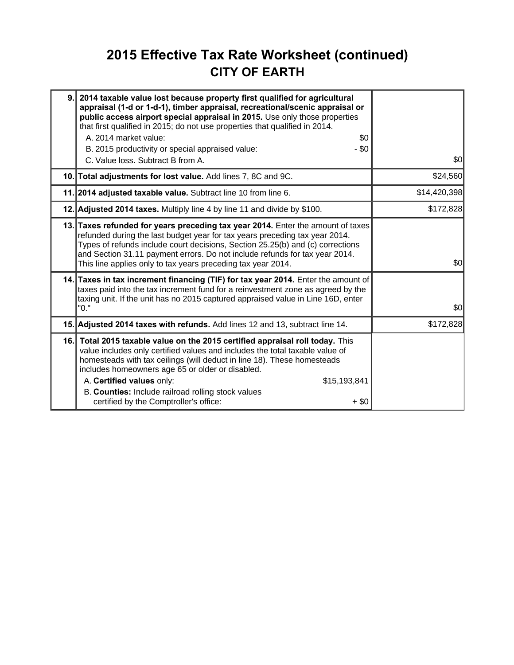## **2015 Effective Tax Rate Worksheet (continued) CITY OF EARTH**

| 9. | 2014 taxable value lost because property first qualified for agricultural<br>appraisal (1-d or 1-d-1), timber appraisal, recreational/scenic appraisal or<br>public access airport special appraisal in 2015. Use only those properties<br>that first qualified in 2015; do not use properties that qualified in 2014.<br>A. 2014 market value:<br>\$0<br>- \$0<br>B. 2015 productivity or special appraised value:<br>C. Value loss. Subtract B from A. | \$0          |
|----|----------------------------------------------------------------------------------------------------------------------------------------------------------------------------------------------------------------------------------------------------------------------------------------------------------------------------------------------------------------------------------------------------------------------------------------------------------|--------------|
|    | 10. Total adjustments for lost value. Add lines 7, 8C and 9C.                                                                                                                                                                                                                                                                                                                                                                                            | \$24,560     |
|    | 11. 2014 adjusted taxable value. Subtract line 10 from line 6.                                                                                                                                                                                                                                                                                                                                                                                           | \$14,420,398 |
|    | 12. Adjusted 2014 taxes. Multiply line 4 by line 11 and divide by \$100.                                                                                                                                                                                                                                                                                                                                                                                 | \$172,828    |
|    | 13. Taxes refunded for years preceding tax year 2014. Enter the amount of taxes<br>refunded during the last budget year for tax years preceding tax year 2014.<br>Types of refunds include court decisions, Section 25.25(b) and (c) corrections<br>and Section 31.11 payment errors. Do not include refunds for tax year 2014.<br>This line applies only to tax years preceding tax year 2014.                                                          | \$0          |
|    | 14. Taxes in tax increment financing (TIF) for tax year 2014. Enter the amount of<br>taxes paid into the tax increment fund for a reinvestment zone as agreed by the<br>taxing unit. If the unit has no 2015 captured appraised value in Line 16D, enter<br>"0."                                                                                                                                                                                         | \$0          |
|    | 15. Adjusted 2014 taxes with refunds. Add lines 12 and 13, subtract line 14.                                                                                                                                                                                                                                                                                                                                                                             | \$172,828    |
|    | 16. Total 2015 taxable value on the 2015 certified appraisal roll today. This<br>value includes only certified values and includes the total taxable value of<br>homesteads with tax ceilings (will deduct in line 18). These homesteads<br>includes homeowners age 65 or older or disabled.<br>A. Certified values only:<br>\$15,193,841<br>B. Counties: Include railroad rolling stock values<br>certified by the Comptroller's office:<br>$+$ \$0     |              |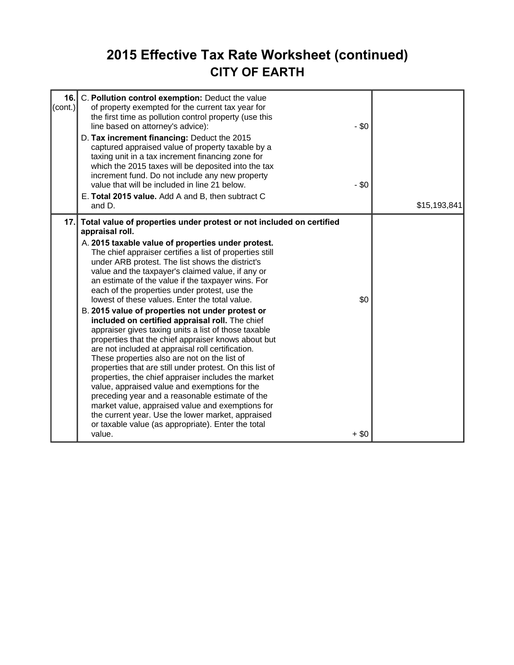## **2015 Effective Tax Rate Worksheet (continued) CITY OF EARTH**

| 16.1<br>C. Pollution control exemption: Deduct the value<br>$ _{\text{(cont.)}} $<br>of property exempted for the current tax year for<br>the first time as pollution control property (use this<br>line based on attorney's advice):<br>D. Tax increment financing: Deduct the 2015<br>captured appraised value of property taxable by a<br>taxing unit in a tax increment financing zone for<br>which the 2015 taxes will be deposited into the tax<br>increment fund. Do not include any new property<br>value that will be included in line 21 below.<br>E. Total 2015 value. Add A and B, then subtract C                                                                                                | $-$ \$0<br>$-$ \$0 |
|---------------------------------------------------------------------------------------------------------------------------------------------------------------------------------------------------------------------------------------------------------------------------------------------------------------------------------------------------------------------------------------------------------------------------------------------------------------------------------------------------------------------------------------------------------------------------------------------------------------------------------------------------------------------------------------------------------------|--------------------|
| and D.<br>17.1<br>Total value of properties under protest or not included on certified<br>appraisal roll.                                                                                                                                                                                                                                                                                                                                                                                                                                                                                                                                                                                                     | \$15,193,841       |
| A. 2015 taxable value of properties under protest.<br>The chief appraiser certifies a list of properties still<br>under ARB protest. The list shows the district's<br>value and the taxpayer's claimed value, if any or<br>an estimate of the value if the taxpayer wins. For<br>each of the properties under protest, use the<br>lowest of these values. Enter the total value.                                                                                                                                                                                                                                                                                                                              | \$0                |
| B. 2015 value of properties not under protest or<br>included on certified appraisal roll. The chief<br>appraiser gives taxing units a list of those taxable<br>properties that the chief appraiser knows about but<br>are not included at appraisal roll certification.<br>These properties also are not on the list of<br>properties that are still under protest. On this list of<br>properties, the chief appraiser includes the market<br>value, appraised value and exemptions for the<br>preceding year and a reasonable estimate of the<br>market value, appraised value and exemptions for<br>the current year. Use the lower market, appraised<br>or taxable value (as appropriate). Enter the total |                    |
| value.                                                                                                                                                                                                                                                                                                                                                                                                                                                                                                                                                                                                                                                                                                        | $+$ \$0            |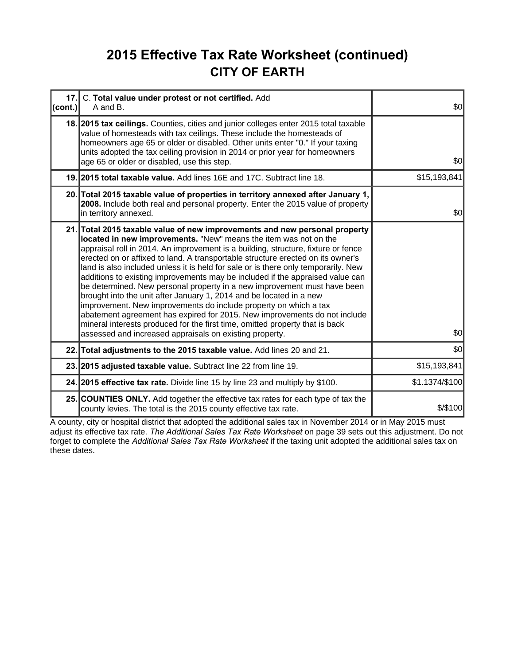## **2015 Effective Tax Rate Worksheet (continued) CITY OF EARTH**

| 17.<br>(cont.) | C. Total value under protest or not certified. Add<br>A and B.                                                                                                                                                                                                                                                                                                                                                                                                                                                                                                                                                                                                                                                                                                                                                                                                                                                                               | \$0            |
|----------------|----------------------------------------------------------------------------------------------------------------------------------------------------------------------------------------------------------------------------------------------------------------------------------------------------------------------------------------------------------------------------------------------------------------------------------------------------------------------------------------------------------------------------------------------------------------------------------------------------------------------------------------------------------------------------------------------------------------------------------------------------------------------------------------------------------------------------------------------------------------------------------------------------------------------------------------------|----------------|
|                | 18. 2015 tax ceilings. Counties, cities and junior colleges enter 2015 total taxable<br>value of homesteads with tax ceilings. These include the homesteads of<br>homeowners age 65 or older or disabled. Other units enter "0." If your taxing<br>units adopted the tax ceiling provision in 2014 or prior year for homeowners<br>age 65 or older or disabled, use this step.                                                                                                                                                                                                                                                                                                                                                                                                                                                                                                                                                               | \$0            |
|                | 19. 2015 total taxable value. Add lines 16E and 17C. Subtract line 18.                                                                                                                                                                                                                                                                                                                                                                                                                                                                                                                                                                                                                                                                                                                                                                                                                                                                       | \$15,193,841   |
|                | 20. Total 2015 taxable value of properties in territory annexed after January 1,<br>2008. Include both real and personal property. Enter the 2015 value of property<br>in territory annexed.                                                                                                                                                                                                                                                                                                                                                                                                                                                                                                                                                                                                                                                                                                                                                 | \$0            |
|                | 21. Total 2015 taxable value of new improvements and new personal property<br>located in new improvements. "New" means the item was not on the<br>appraisal roll in 2014. An improvement is a building, structure, fixture or fence<br>erected on or affixed to land. A transportable structure erected on its owner's<br>land is also included unless it is held for sale or is there only temporarily. New<br>additions to existing improvements may be included if the appraised value can<br>be determined. New personal property in a new improvement must have been<br>brought into the unit after January 1, 2014 and be located in a new<br>improvement. New improvements do include property on which a tax<br>abatement agreement has expired for 2015. New improvements do not include<br>mineral interests produced for the first time, omitted property that is back<br>assessed and increased appraisals on existing property. | \$0            |
|                | 22. Total adjustments to the 2015 taxable value. Add lines 20 and 21.                                                                                                                                                                                                                                                                                                                                                                                                                                                                                                                                                                                                                                                                                                                                                                                                                                                                        | \$0            |
|                | 23. 2015 adjusted taxable value. Subtract line 22 from line 19.                                                                                                                                                                                                                                                                                                                                                                                                                                                                                                                                                                                                                                                                                                                                                                                                                                                                              | \$15,193,841   |
|                | 24. 2015 effective tax rate. Divide line 15 by line 23 and multiply by \$100.                                                                                                                                                                                                                                                                                                                                                                                                                                                                                                                                                                                                                                                                                                                                                                                                                                                                | \$1.1374/\$100 |
|                | 25. COUNTIES ONLY. Add together the effective tax rates for each type of tax the<br>county levies. The total is the 2015 county effective tax rate.                                                                                                                                                                                                                                                                                                                                                                                                                                                                                                                                                                                                                                                                                                                                                                                          | $$$ /\$100     |

A county, city or hospital district that adopted the additional sales tax in November 2014 or in May 2015 must adjust its effective tax rate. *The Additional Sales Tax Rate Worksheet* on page 39 sets out this adjustment. Do not forget to complete the *Additional Sales Tax Rate Worksheet* if the taxing unit adopted the additional sales tax on these dates.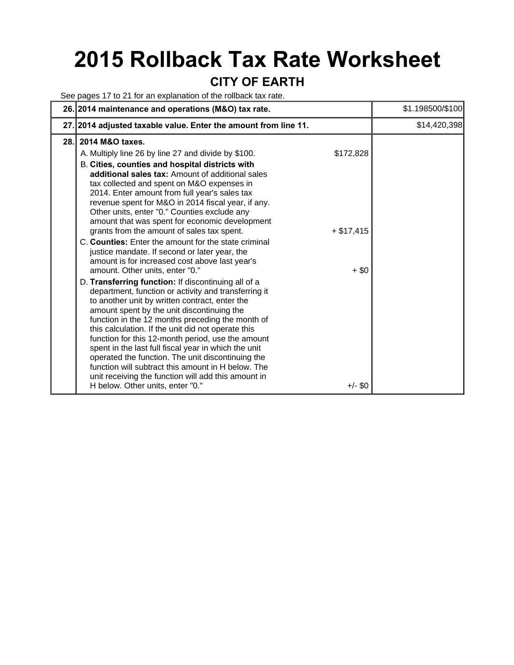# **2015 Rollback Tax Rate Worksheet**

#### **CITY OF EARTH**

See pages 17 to 21 for an explanation of the rollback tax rate.

| 26. 2014 maintenance and operations (M&O) tax rate.                                                                                                                                                                                                                                                                                                                                                                                                                                                                                                                                                                                                                                       |                          | \$1.198500/\$100 |
|-------------------------------------------------------------------------------------------------------------------------------------------------------------------------------------------------------------------------------------------------------------------------------------------------------------------------------------------------------------------------------------------------------------------------------------------------------------------------------------------------------------------------------------------------------------------------------------------------------------------------------------------------------------------------------------------|--------------------------|------------------|
| 27. 2014 adjusted taxable value. Enter the amount from line 11.                                                                                                                                                                                                                                                                                                                                                                                                                                                                                                                                                                                                                           |                          | \$14,420,398     |
| 2014 M&O taxes.<br>28.I                                                                                                                                                                                                                                                                                                                                                                                                                                                                                                                                                                                                                                                                   |                          |                  |
| A. Multiply line 26 by line 27 and divide by \$100.<br>B. Cities, counties and hospital districts with<br>additional sales tax: Amount of additional sales<br>tax collected and spent on M&O expenses in<br>2014. Enter amount from full year's sales tax<br>revenue spent for M&O in 2014 fiscal year, if any.<br>Other units, enter "0." Counties exclude any<br>amount that was spent for economic development<br>grants from the amount of sales tax spent.<br>C. Counties: Enter the amount for the state criminal<br>justice mandate. If second or later year, the                                                                                                                  | \$172,828<br>$+ $17,415$ |                  |
| amount is for increased cost above last year's<br>amount. Other units, enter "0."<br>D. Transferring function: If discontinuing all of a<br>department, function or activity and transferring it<br>to another unit by written contract, enter the<br>amount spent by the unit discontinuing the<br>function in the 12 months preceding the month of<br>this calculation. If the unit did not operate this<br>function for this 12-month period, use the amount<br>spent in the last full fiscal year in which the unit<br>operated the function. The unit discontinuing the<br>function will subtract this amount in H below. The<br>unit receiving the function will add this amount in | $+$ \$0                  |                  |
| H below. Other units, enter "0."                                                                                                                                                                                                                                                                                                                                                                                                                                                                                                                                                                                                                                                          | $+/-$ \$0                |                  |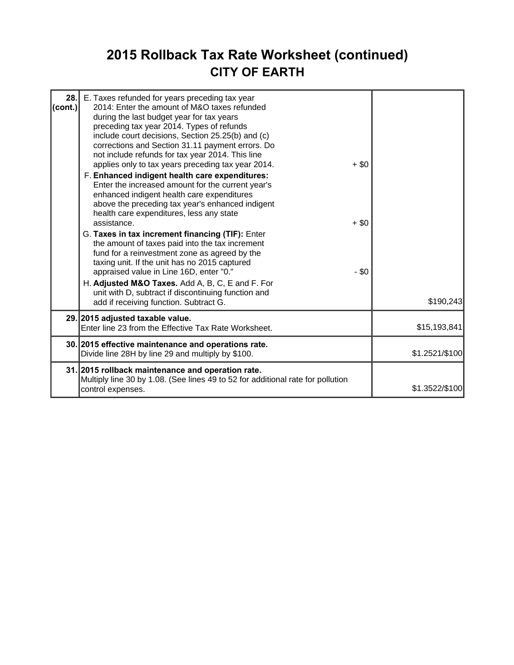## **2015 Rollback Tax Rate Worksheet (continued) CITY OF EARTH**

| 28.<br>$ $ (cont.) | E. Taxes refunded for years preceding tax year<br>2014: Enter the amount of M&O taxes refunded<br>during the last budget year for tax years<br>preceding tax year 2014. Types of refunds<br>include court decisions, Section 25.25(b) and (c)<br>corrections and Section 31.11 payment errors. Do<br>not include refunds for tax year 2014. This line<br>applies only to tax years preceding tax year 2014.<br>F. Enhanced indigent health care expenditures:<br>Enter the increased amount for the current year's<br>enhanced indigent health care expenditures<br>above the preceding tax year's enhanced indigent<br>health care expenditures, less any state<br>assistance.<br>G. Taxes in tax increment financing (TIF): Enter<br>the amount of taxes paid into the tax increment<br>fund for a reinvestment zone as agreed by the<br>taxing unit. If the unit has no 2015 captured<br>appraised value in Line 16D, enter "0."<br>H. Adjusted M&O Taxes. Add A, B, C, E and F. For<br>unit with D, subtract if discontinuing function and<br>add if receiving function. Subtract G. | $+ $0$<br>$+$ \$0<br>- \$0 | \$190,243      |
|--------------------|------------------------------------------------------------------------------------------------------------------------------------------------------------------------------------------------------------------------------------------------------------------------------------------------------------------------------------------------------------------------------------------------------------------------------------------------------------------------------------------------------------------------------------------------------------------------------------------------------------------------------------------------------------------------------------------------------------------------------------------------------------------------------------------------------------------------------------------------------------------------------------------------------------------------------------------------------------------------------------------------------------------------------------------------------------------------------------------|----------------------------|----------------|
|                    | 29. 2015 adjusted taxable value.<br>Enter line 23 from the Effective Tax Rate Worksheet.                                                                                                                                                                                                                                                                                                                                                                                                                                                                                                                                                                                                                                                                                                                                                                                                                                                                                                                                                                                                 |                            | \$15,193,841   |
|                    | 30. 2015 effective maintenance and operations rate.<br>Divide line 28H by line 29 and multiply by \$100.                                                                                                                                                                                                                                                                                                                                                                                                                                                                                                                                                                                                                                                                                                                                                                                                                                                                                                                                                                                 |                            | \$1.2521/\$100 |
|                    | 31. 2015 rollback maintenance and operation rate.<br>Multiply line 30 by 1.08. (See lines 49 to 52 for additional rate for pollution<br>control expenses.                                                                                                                                                                                                                                                                                                                                                                                                                                                                                                                                                                                                                                                                                                                                                                                                                                                                                                                                |                            | \$1.3522/\$100 |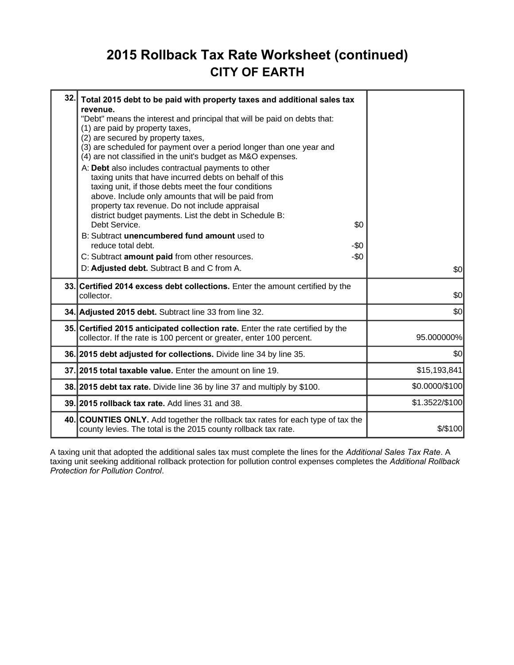### **2015 Rollback Tax Rate Worksheet (continued) CITY OF EARTH**

| 32. | Total 2015 debt to be paid with property taxes and additional sales tax<br>revenue.<br>"Debt" means the interest and principal that will be paid on debts that:<br>(1) are paid by property taxes,<br>(2) are secured by property taxes,<br>(3) are scheduled for payment over a period longer than one year and<br>(4) are not classified in the unit's budget as M&O expenses.<br>A: Debt also includes contractual payments to other<br>taxing units that have incurred debts on behalf of this<br>taxing unit, if those debts meet the four conditions<br>above. Include only amounts that will be paid from<br>property tax revenue. Do not include appraisal<br>district budget payments. List the debt in Schedule B:<br>Debt Service.<br>B: Subtract unencumbered fund amount used to<br>reduce total debt.<br>C: Subtract amount paid from other resources.<br>D: Adjusted debt. Subtract B and C from A. | \$0<br>$-50$<br>$-50$ | \$0            |  |
|-----|--------------------------------------------------------------------------------------------------------------------------------------------------------------------------------------------------------------------------------------------------------------------------------------------------------------------------------------------------------------------------------------------------------------------------------------------------------------------------------------------------------------------------------------------------------------------------------------------------------------------------------------------------------------------------------------------------------------------------------------------------------------------------------------------------------------------------------------------------------------------------------------------------------------------|-----------------------|----------------|--|
|     | 33. Certified 2014 excess debt collections. Enter the amount certified by the<br>collector.                                                                                                                                                                                                                                                                                                                                                                                                                                                                                                                                                                                                                                                                                                                                                                                                                        |                       | \$0            |  |
|     | 34. Adjusted 2015 debt. Subtract line 33 from line 32.                                                                                                                                                                                                                                                                                                                                                                                                                                                                                                                                                                                                                                                                                                                                                                                                                                                             |                       | \$0            |  |
|     | 35. Certified 2015 anticipated collection rate. Enter the rate certified by the<br>collector. If the rate is 100 percent or greater, enter 100 percent.                                                                                                                                                                                                                                                                                                                                                                                                                                                                                                                                                                                                                                                                                                                                                            |                       | 95.000000%     |  |
|     | 36. 2015 debt adjusted for collections. Divide line 34 by line 35.                                                                                                                                                                                                                                                                                                                                                                                                                                                                                                                                                                                                                                                                                                                                                                                                                                                 |                       | \$0            |  |
|     | 37. 2015 total taxable value. Enter the amount on line 19.                                                                                                                                                                                                                                                                                                                                                                                                                                                                                                                                                                                                                                                                                                                                                                                                                                                         |                       | \$15,193,841   |  |
|     | 38. 2015 debt tax rate. Divide line 36 by line 37 and multiply by \$100.                                                                                                                                                                                                                                                                                                                                                                                                                                                                                                                                                                                                                                                                                                                                                                                                                                           |                       | \$0.0000/\$100 |  |
|     | 39. 2015 rollback tax rate. Add lines 31 and 38.                                                                                                                                                                                                                                                                                                                                                                                                                                                                                                                                                                                                                                                                                                                                                                                                                                                                   |                       | \$1.3522/\$100 |  |
|     | 40. COUNTIES ONLY. Add together the rollback tax rates for each type of tax the<br>county levies. The total is the 2015 county rollback tax rate.                                                                                                                                                                                                                                                                                                                                                                                                                                                                                                                                                                                                                                                                                                                                                                  |                       | \$/\$100       |  |

A taxing unit that adopted the additional sales tax must complete the lines for the *Additional Sales Tax Rate*. A taxing unit seeking additional rollback protection for pollution control expenses completes the *Additional Rollback Protection for Pollution Control*.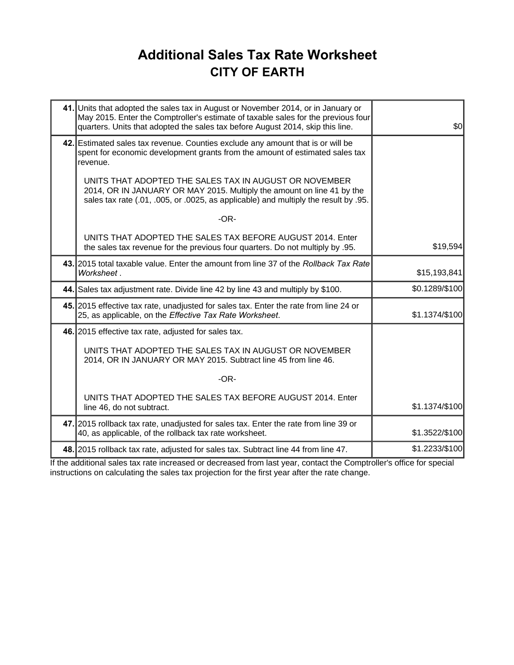## **Additional Sales Tax Rate Worksheet CITY OF EARTH**

| 41. Units that adopted the sales tax in August or November 2014, or in January or<br>May 2015. Enter the Comptroller's estimate of taxable sales for the previous four<br>quarters. Units that adopted the sales tax before August 2014, skip this line. | \$0            |
|----------------------------------------------------------------------------------------------------------------------------------------------------------------------------------------------------------------------------------------------------------|----------------|
| 42. Estimated sales tax revenue. Counties exclude any amount that is or will be<br>spent for economic development grants from the amount of estimated sales tax<br>revenue.                                                                              |                |
| UNITS THAT ADOPTED THE SALES TAX IN AUGUST OR NOVEMBER<br>2014, OR IN JANUARY OR MAY 2015. Multiply the amount on line 41 by the<br>sales tax rate (.01, .005, or .0025, as applicable) and multiply the result by .95.                                  |                |
| $-OR-$                                                                                                                                                                                                                                                   |                |
| UNITS THAT ADOPTED THE SALES TAX BEFORE AUGUST 2014. Enter<br>the sales tax revenue for the previous four quarters. Do not multiply by .95.                                                                                                              | \$19,594       |
| 43. 2015 total taxable value. Enter the amount from line 37 of the Rollback Tax Rate<br>Worksheet.                                                                                                                                                       | \$15,193,841   |
| 44. Sales tax adjustment rate. Divide line 42 by line 43 and multiply by \$100.                                                                                                                                                                          | \$0.1289/\$100 |
| 45. 2015 effective tax rate, unadjusted for sales tax. Enter the rate from line 24 or<br>25, as applicable, on the Effective Tax Rate Worksheet.                                                                                                         | \$1.1374/\$100 |
| 46. 2015 effective tax rate, adjusted for sales tax.                                                                                                                                                                                                     |                |
| UNITS THAT ADOPTED THE SALES TAX IN AUGUST OR NOVEMBER<br>2014, OR IN JANUARY OR MAY 2015. Subtract line 45 from line 46.                                                                                                                                |                |
| $-OR-$                                                                                                                                                                                                                                                   |                |
| UNITS THAT ADOPTED THE SALES TAX BEFORE AUGUST 2014. Enter<br>line 46, do not subtract.                                                                                                                                                                  | \$1.1374/\$100 |
| 47. 2015 rollback tax rate, unadjusted for sales tax. Enter the rate from line 39 or<br>40, as applicable, of the rollback tax rate worksheet.                                                                                                           | \$1.3522/\$100 |
| 48. 2015 rollback tax rate, adjusted for sales tax. Subtract line 44 from line 47.                                                                                                                                                                       | \$1.2233/\$100 |

If the additional sales tax rate increased or decreased from last year, contact the Comptroller's office for special instructions on calculating the sales tax projection for the first year after the rate change.